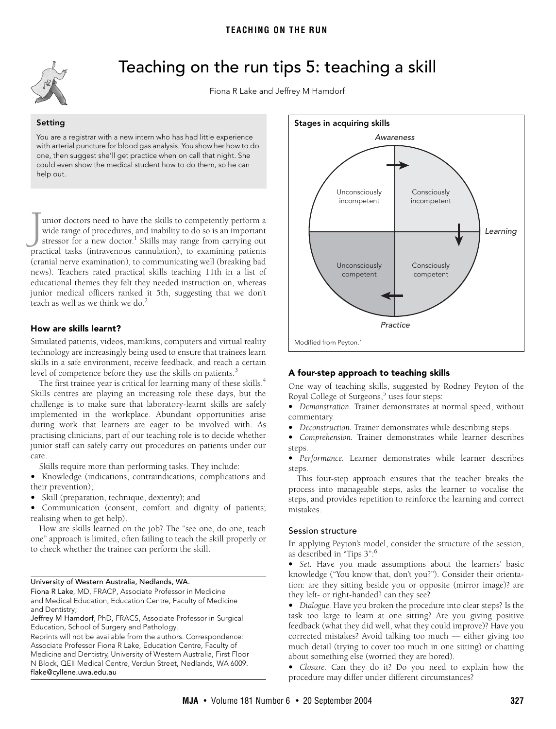<span id="page-0-0"></span>

# Teaching on the run tips 5: teaching a skill

Fiona R Lake and Jeffrey M Hamdorf

**Setting** You are a registrar with a new intern who has had little experience with arterial puncture for blood gas analysis. You show her how to do one, then suggest she'll get practice when on call that night. She could even show the medical student how to do them, so he can help out.

teach as well as we think we do.<sup>2</sup> unior doctors need to have the skills to competently perform a wide range of procedures, and inability to do so is an important stressor for a new doctor.<sup>[1](#page-1-0)</sup> Skills may range from carrying out I unior doctors need to have the skills to competently perform a wide range of procedures, and inability to do so is an important stressor for a new doctor.<sup>1</sup> Skills may range from carrying out practical tasks (intravenou (cranial nerve examination), to communicating well (breaking bad news). Teachers rated practical skills teaching 11th in a list of educational themes they felt they needed instruction on, whereas junior medical officers ranked it 5th, suggesting that we don't

#### ©The Medical Journal of Australia 2004 How are skills learnt?

Simulated patients, videos, manikins, computers and virtual reality technology are increasingly being used to ensure that trainees learn skills in a safe environment, receive feedback, and reach a certain level of competence before they use the skills on patients.<sup>[3](#page-1-2)</sup>

The first trainee year is critical for learning many of these skills.<sup>[4](#page-1-4)</sup> Skills centres are playing an increasing role these days, but the challenge is to make sure that laboratory-learnt skills are safely implemented in the workplace. Abundant opportunities arise during work that learners are eager to be involved with. As practising clinicians, part of our teaching role is to decide whether junior staff can safely carry out procedures on patients under our care.

Skills require more than performing tasks. They include:

**•** Knowledge (indications, contraindications, complications and their prevention);

**•** Skill (preparation, technique, dexterity); and

**•** Communication (consent, comfort and dignity of patients; realising when to get help).

How are skills learned on the job? The "see one, do one, teach one" approach is limited, often failing to teach the skill properly or to check whether the trainee can perform the skill.

#### University of Western Australia, Nedlands, WA.

Fiona R Lake, MD, FRACP, Associate Professor in Medicine and Medical Education, Education Centre, Faculty of Medicine and Dentistry;

Reprints will not be available from the authors. Correspondence: Associate Professor Fiona R Lake, Education Centre, Faculty of Medicine and Dentistry, University of Western Australia, First Floor N Block, QEII Medical Centre, Verdun Street, Nedlands, WA 6009. flake@cyllene.uwa.edu.au



#### **A four-step approach to teaching skills**

One way of teaching skills, suggested by Rodney Peyton of the Royal College of Surgeons,<sup>5</sup> uses four steps:

**•** *Demonstration.* Trainer demonstrates at normal speed, without commentary.

**•** *Deconstruction.* Trainer demonstrates while describing steps.

**•** *Comprehension.* Trainer demonstrates while learner describes steps.

**•** *Performance.* Learner demonstrates while learner describes steps.

This four-step approach ensures that the teacher breaks the process into manageable steps, asks the learner to vocalise the steps, and provides repetition to reinforce the learning and correct mistakes.

#### Session structure

In applying Peyton's model, consider the structure of the session, as described in "Tips 3":[6](#page-1-6)

**•** *Set.* Have you made assumptions about the learners' basic knowledge ("You know that, don't you?"). Consider their orientation: are they sitting beside you or opposite (mirror image)? are they left- or right-handed? can they see?

**•** *Dialogue.* Have you broken the procedure into clear steps? Is the task too large to learn at one sitting? Are you giving positive feedback (what they did well, what they could improve)? Have you corrected mistakes? Avoid talking too much — either giving too much detail (trying to cover too much in one sitting) or chatting about something else (worried they are bored).

**•** *Closure.* Can they do it? Do you need to explain how the procedure may differ under different circumstances?

Jeffrey M Hamdorf, PhD, FRACS, Associate Professor in Surgical Education, School of Surgery and Pathology.